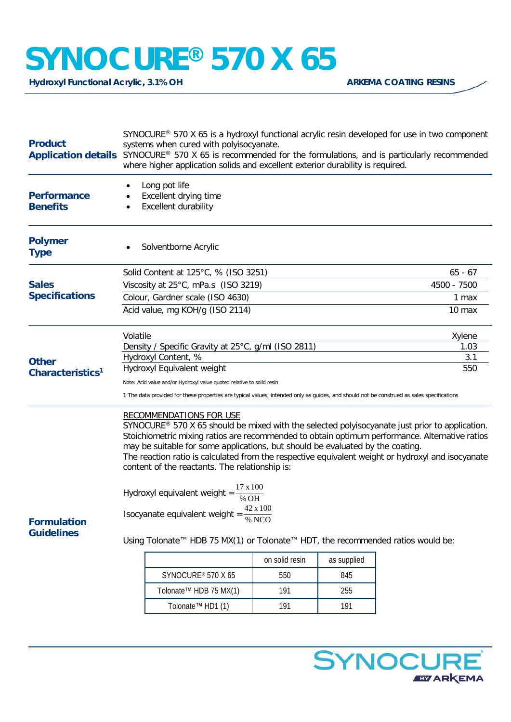# **SYNOCURE® 570 X 65**

Hydroxyl Functional Acrylic, 3.1% OH **ARKEMA COATING RESINS** 

| <b>Product</b>                                                                          | SYNOCURE <sup>®</sup> 570 X 65 is a hydroxyl functional acrylic resin developed for use in two component<br>systems when cured with polyisocyanate.<br>Application details SYNOCURE® 570 X 65 is recommended for the formulations, and is particularly recommended<br>where higher application solids and excellent exterior durability is required.                                                                                                                        |                |             |             |
|-----------------------------------------------------------------------------------------|-----------------------------------------------------------------------------------------------------------------------------------------------------------------------------------------------------------------------------------------------------------------------------------------------------------------------------------------------------------------------------------------------------------------------------------------------------------------------------|----------------|-------------|-------------|
| <b>Performance</b><br><b>Benefits</b>                                                   | Long pot life<br>Excellent drying time<br><b>Excellent durability</b>                                                                                                                                                                                                                                                                                                                                                                                                       |                |             |             |
| <b>Polymer</b><br><b>Type</b>                                                           | Solventborne Acrylic                                                                                                                                                                                                                                                                                                                                                                                                                                                        |                |             |             |
| <b>Sales</b><br><b>Specifications</b>                                                   | Solid Content at 125°C, % (ISO 3251)                                                                                                                                                                                                                                                                                                                                                                                                                                        |                |             | $65 - 67$   |
|                                                                                         | Viscosity at 25°C, mPa.s (ISO 3219)                                                                                                                                                                                                                                                                                                                                                                                                                                         |                |             | 4500 - 7500 |
|                                                                                         | Colour, Gardner scale (ISO 4630)                                                                                                                                                                                                                                                                                                                                                                                                                                            |                |             | 1 max       |
|                                                                                         | Acid value, mg KOH/g (ISO 2114)                                                                                                                                                                                                                                                                                                                                                                                                                                             |                |             | 10 max      |
| <b>Other</b><br>Characteristics <sup>1</sup><br><b>Formulation</b><br><b>Guidelines</b> | Volatile                                                                                                                                                                                                                                                                                                                                                                                                                                                                    |                |             | Xylene      |
|                                                                                         | Density / Specific Gravity at 25°C, g/ml (ISO 2811)                                                                                                                                                                                                                                                                                                                                                                                                                         |                |             | 1.03        |
|                                                                                         | Hydroxyl Content, %                                                                                                                                                                                                                                                                                                                                                                                                                                                         |                |             | 3.1         |
|                                                                                         | Hydroxyl Equivalent weight                                                                                                                                                                                                                                                                                                                                                                                                                                                  |                |             | 550         |
|                                                                                         | Note: Acid value and/or Hydroxyl value quoted relative to solid resin                                                                                                                                                                                                                                                                                                                                                                                                       |                |             |             |
|                                                                                         | 1 The data provided for these properties are typical values, intended only as guides, and should not be construed as sales specifications                                                                                                                                                                                                                                                                                                                                   |                |             |             |
|                                                                                         | <b>RECOMMENDATIONS FOR USE</b><br>SYNOCURE® 570 X 65 should be mixed with the selected polyisocyanate just prior to application.<br>Stoichiometric mixing ratios are recommended to obtain optimum performance. Alternative ratios<br>may be suitable for some applications, but should be evaluated by the coating.<br>The reaction ratio is calculated from the respective equivalent weight or hydroxyl and isocyanate<br>content of the reactants. The relationship is: |                |             |             |
|                                                                                         | 17 x 100<br>Hydroxyl equivalent weight =<br>% OH                                                                                                                                                                                                                                                                                                                                                                                                                            |                |             |             |
|                                                                                         | 42 x 100<br>Isocyanate equivalent weight =<br>% NCO                                                                                                                                                                                                                                                                                                                                                                                                                         |                |             |             |
|                                                                                         | Using Tolonate™ HDB 75 MX(1) or Tolonate™ HDT, the recommended ratios would be:                                                                                                                                                                                                                                                                                                                                                                                             |                |             |             |
|                                                                                         |                                                                                                                                                                                                                                                                                                                                                                                                                                                                             | on solid resin | as supplied |             |
|                                                                                         | SYNOCURE® 570 X 65                                                                                                                                                                                                                                                                                                                                                                                                                                                          | 550            | 845         |             |
|                                                                                         | Tolonate <sup>™</sup> HDB 75 MX(1)                                                                                                                                                                                                                                                                                                                                                                                                                                          | 191            | 255         |             |
|                                                                                         | Tolonate <sup>™</sup> HD1 (1)                                                                                                                                                                                                                                                                                                                                                                                                                                               | 191            | 191         |             |